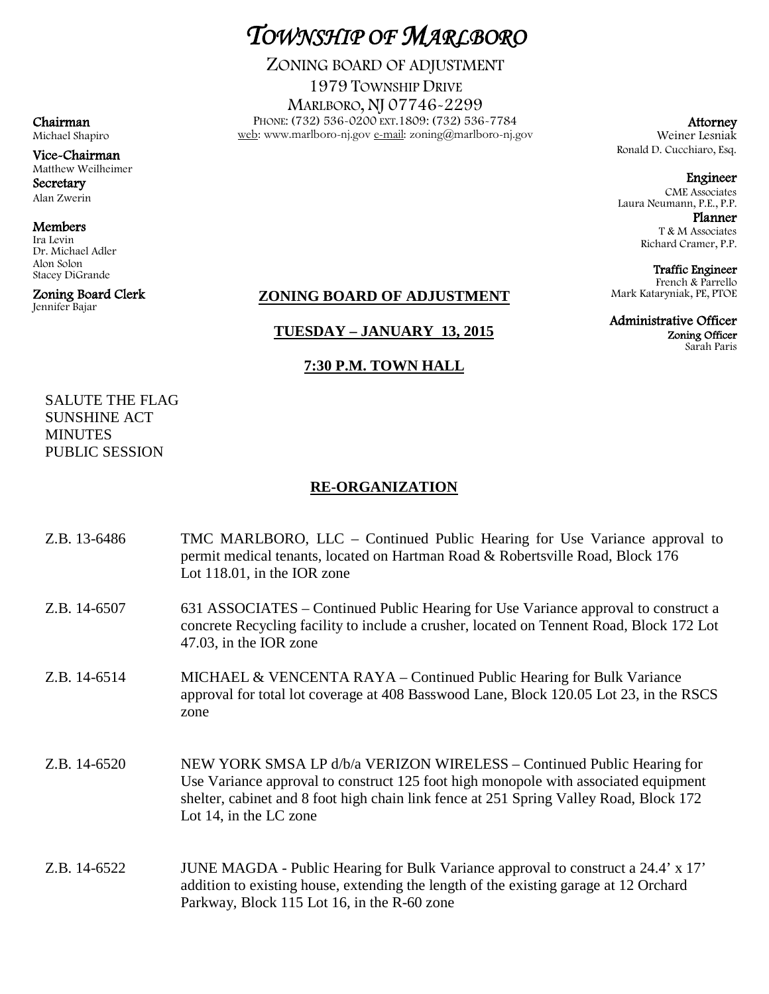# *TOWNSHIP OF MARLBORO*

ZONING BOARD OF ADJUSTMENT

1979 TOWNSHIP DRIVE MARLBORO, NJ 07746-2299 PHONE: (732) 536-0200 EXT.1809: (732) 536-7784 web: www.marlboro-nj.gov e-mail: zoning@marlboro-nj.gov

Attorney Weiner Lesniak Ronald D. Cucchiaro, Esq.

Engineer CME Associates Laura Neumann, P.E., P.P. Planner

T & M Associates Richard Cramer, P.P.

Traffic Engineer French & Parrello Mark Kataryniak, PE, PTOE

Administrative Officer Zoning Officer

Sarah Paris

Chairman Michael Shapiro

Vice-Chairman Matthew Weilheimer **Secretary** Alan Zwerin

Members

Ira Levin Dr. Michael Adler Alon Solon Stacey DiGrande

Zoning Board Clerk Jennifer Bajar

## **ZONING BOARD OF ADJUSTMENT**

### **TUESDAY – JANUARY 13, 2015**

### **7:30 P.M. TOWN HALL**

SALUTE THE FLAG SUNSHINE ACT **MINUTES** PUBLIC SESSION

### **RE-ORGANIZATION**

| Z.B. 13-6486 | TMC MARLBORO, LLC – Continued Public Hearing for Use Variance approval to<br>permit medical tenants, located on Hartman Road & Robertsville Road, Block 176<br>Lot $118.01$ , in the IOR zone                                                                                     |
|--------------|-----------------------------------------------------------------------------------------------------------------------------------------------------------------------------------------------------------------------------------------------------------------------------------|
| Z.B. 14-6507 | 631 ASSOCIATES - Continued Public Hearing for Use Variance approval to construct a<br>concrete Recycling facility to include a crusher, located on Tennent Road, Block 172 Lot<br>47.03, in the IOR zone                                                                          |
| Z.B. 14-6514 | MICHAEL & VENCENTA RAYA – Continued Public Hearing for Bulk Variance<br>approval for total lot coverage at 408 Basswood Lane, Block 120.05 Lot 23, in the RSCS<br>zone                                                                                                            |
| Z.B. 14-6520 | NEW YORK SMSA LP d/b/a VERIZON WIRELESS – Continued Public Hearing for<br>Use Variance approval to construct 125 foot high monopole with associated equipment<br>shelter, cabinet and 8 foot high chain link fence at 251 Spring Valley Road, Block 172<br>Lot 14, in the LC zone |
| Z.B. 14-6522 | JUNE MAGDA - Public Hearing for Bulk Variance approval to construct a 24.4' x 17'<br>addition to existing house, extending the length of the existing garage at 12 Orchard<br>Parkway, Block 115 Lot 16, in the R-60 zone                                                         |